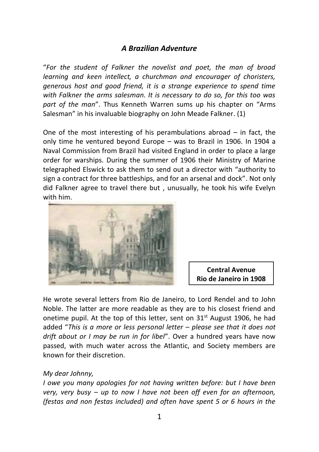## *A Brazilian Adventure*

"*For the student of Falkner the novelist and poet, the man of broad learning and keen intellect, a churchman and encourager of choristers, generous host and good friend, it is a strange experience to spend time with Falkner the arms salesman. It is necessary to do so, for this too was part of the man*". Thus Kenneth Warren sums up his chapter on "Arms Salesman" in his invaluable biography on John Meade Falkner. (1)

One of the most interesting of his perambulations abroad – in fact, the only time he ventured beyond Europe – was to Brazil in 1906. In 1904 a Naval Commission from Brazil had visited England in order to place a large order for warships. During the summer of 1906 their Ministry of Marine telegraphed Elswick to ask them to send out a director with "authority to sign a contract for three battleships, and for an arsenal and dock". Not only did Falkner agree to travel there but , unusually, he took his wife Evelyn [with him.](http://www.ebay.co.uk/itm/S-A-BRAZIL-RIO-DE-JANEIRO-Avenida-Central-1908-postcard-/310684634362?pt=LH_DefaultDomain_0&hash=item48563f4cfa)



**Central Avenue Rio de Janeiro in 1908**

He wrote several letters from Rio de Janeiro, to Lord Rendel and to John Noble. The latter are more readable as they are to his closest friend and onetime pupil. At the top of this letter, sent on  $31<sup>st</sup>$  August 1906, he had added "*This is a more or less personal letter – please see that it does not drift about or I may be run in for libel*". Over a hundred years have now passed, with much water across the Atlantic, and Society members are known for their discretion.

## *My dear Johnny,*

*I owe you many apologies for not having written before: but I have been very, very busy – up to now I have not been off even for an afternoon, (festas and non festas included) and often have spent 5 or 6 hours in the*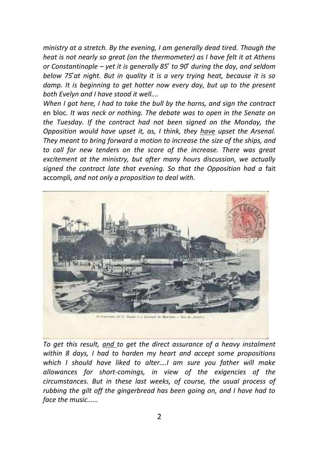*ministry at a stretch. By the evening, I am generally dead tired. Though the heat is not nearly so great (on the thermometer) as I have felt it at Athens or Constantinople – yet it is generally 85 ̊to 90 ̊during the day, and seldom below 75 ̊at night. But in quality it is a very trying heat, because it is so damp. It is beginning to get hotter now every day, but up to the present both Evelyn and I have stood it well….*

*When I got here, I had to take the bull by the horns, and sign the contract*  en bloc*. It was neck or nothing. The debate was to open in the Senate on the Tuesday. If the contract had not been signed on the Monday, the Opposition would have upset it, as, I think, they have upset the Arsenal. They meant to bring forward a motion to increase the size of the ships, and to call for new tenders on the score of the increase. There was great excitement at the ministry, but after many hours discussion, we actually signed the contract late that evening. So that the Opposition had a* fait accompli*, and not only a proposition to deal with.*



*To get this result, and to get the direct assurance of a heavy instalment within 8 days, I had to harden my heart and accept some propositions which I should have liked to alter….I am sure you father will make allowances for short-comings, in view of the exigencies of the circumstances. But in these last weeks, of course, the usual process of rubbing the gilt off the gingerbread has been going on, and I have had to face the music……*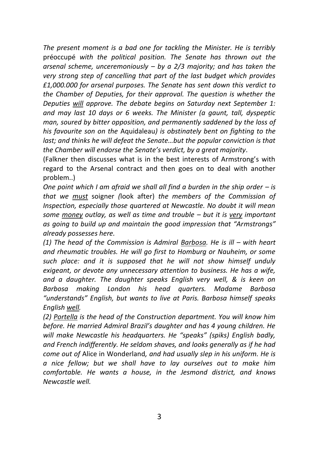*The present moment is a bad one for tackling the Minister. He is terribly*  préoccupé *with the political position. The Senate has thrown out the arsenal scheme, unceremoniously – by a 2/3 majority; and has taken the very strong step of cancelling that part of the last budget which provides £1,000.000 for arsenal purposes. The Senate has sent down this verdict to the Chamber of Deputies, for their approval. The question is whether the Deputies will approve. The debate begins on Saturday next September 1: and may last 10 days or 6 weeks. The Minister (a gaunt, tall, dyspeptic man, soured by bitter opposition, and permanently saddened by the loss of his favourite son on the* Aquidaleau*) is obstinately bent on fighting to the last; and thinks he will defeat the Senate...but the popular conviction is that the Chamber will endorse the Senate's verdict, by a great majority.*

(Falkner then discusses what is in the best interests of Armstrong's with regard to the Arsenal contract and then goes on to deal with another problem..)

*One point which I am afraid we shall all find a burden in the ship order – is that we must* soigner *(*look after) *the members of the Commission of Inspection, especially those quartered at Newcastle. No doubt it will mean some money outlay, as well as time and trouble – but it is very important as going to build up and maintain the good impression that "Armstrongs" already possesses here.*

*(1) The head of the Commission is Admiral Barbosa. He is ill – with heart and rheumatic troubles. He will go first to Homburg or Nauheim, or some such place: and it is supposed that he will not show himself unduly exigeant, or devote any unnecessary attention to business. He has a wife, and a daughter. The daughter speaks English very well, & is keen on Barbosa making London his head quarters. Madame Barbosa "understands" English, but wants to live at Paris. Barbosa himself speaks English well.*

*(2) Portella is the head of the Construction department. You will know him before. He married Admiral Brazil's daughter and has 4 young children. He will make Newcastle his headquarters. He "speaks" (spiks) English badly, and French indifferently. He seldom shaves, and looks generally as if he had come out of* Alice in Wonderland*, and had usually slep in his uniform. He is a nice fellow; but we shall have to lay ourselves out to make him comfortable. He wants a house, in the Jesmond district, and knows Newcastle well.*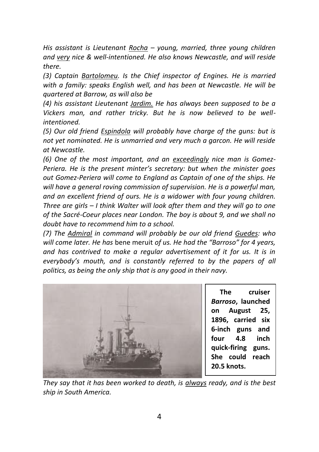*His assistant is Lieutenant Rocha – young, married, three young children and very nice & well-intentioned. He also knows Newcastle, and will reside there.*

*(3) Captain Bartolomeu. Is the Chief inspector of Engines. He is married with a family: speaks English well, and has been at Newcastle. He will be quartered at Barrow, as will also be*

*(4) his assistant Lieutenant Jardim. He has always been supposed to be a Vickers man, and rather tricky. But he is now believed to be wellintentioned.*

*(5) Our old friend Espindola will probably have charge of the guns: but is not yet nominated. He is unmarried and very much a garcon. He will reside at Newcastle.*

*(6) One of the most important, and an exceedingly nice man is Gomez-Periera. He is the present minter's secretary: but when the minister goes out Gomez-Periera will come to England as Captain of one of the ships. He will have a general roving commission of supervision. He is a powerful man, and an excellent friend of ours. He is a widower with four young children. Three are girls – I think Walter will look after them and they will go to one of the Sacré-Coeur places near London. The boy is about 9, and we shall no doubt have to recommend him to a school.* 

*(7) The Admiral in command will probably be our old friend Guedes: who will come later. He has* bene meruit *of us. He had the "Barroso" for 4 years, and has contrived to make a regular advertisement of it for us. It is in everybody's mouth, and is constantly referred to by the papers of all politics, as being the only ship that is any good in their navy.* 



 **The cruiser**  *Barroso***, launched on August 25, 1896, carried six 6-inch guns and four 4.8 inch quick-firing guns. She could reach 20.5 knots.**

*They say that it has been worked to death, is always ready, and is the best ship in South America.*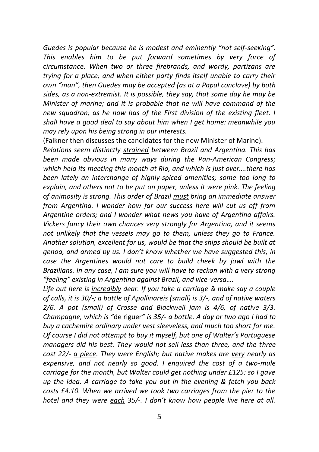*Guedes is popular because he is modest and eminently "not self-seeking". This enables him to be put forward sometimes by very force of circumstance. When two or three firebrands, and wordy, partizans are trying for a place; and when either party finds itself unable to carry their own "man", then Guedes may be accepted (as at a Papal conclave) by both sides, as a non-extremist. It is possible, they say, that some day he may be Minister of marine; and it is probable that he will have command of the new squadron; as he now has of the First division of the existing fleet. I shall have a good deal to say about him when I get home: meanwhile you may rely upon his being strong in our interests.*

(Falkner then discusses the candidates for the new Minister of Marine).

*Relations seem distinctly strained between Brazil and Argentina. This has been made obvious in many ways during the Pan-American Congress; which held its meeting this month at Rio, and which is just over….there has been lately an interchange of highly-spiced amenities; some too long to explain, and others not to be put on paper, unless it were pink. The feeling of animosity is strong. This order of Brazil must bring an immediate answer from Argentina. I wonder how far our success here will cut us off from Argentine orders; and I wonder what news you have of Argentina affairs. Vickers fancy their own chances very strongly for Argentina, and it seems not unlikely that the vessels may go to them, unless they go to France. Another solution, excellent for us, would be that the ships should be built at genoa, and armed by us. I don't know whether we have suggested this, in case the Argentines would not care to build cheek by jowl with the Brazilians. In any case, I am sure you will have to reckon with a very strong "feeling" existing in Argentina against Brazil, and vice-versa….*

*Life out here is incredibly dear. If you take a carriage & make say a couple of calls, it is 30/-; a bottle of Apollinareis (small) is 3/-, and of native waters 2/6. A pot (small) of Crosse and Blackwell jam is 4/6, of native 3/3. Champagne, which is "*de riguer*" is 35/- a bottle. A day or two ago I had to buy a cachemire ordinary under vest sleeveless, and much too short for me. Of course I did not attempt to buy it myself, but one of Walter's Portuguese managers did his best. They would not sell less than three, and the three cost 22/- a piece. They were English; but native makes are very nearly as expensive, and not nearly so good. I enquired the cost of a two-mule carriage for the month, but Walter could get nothing under £125: so I gave up the idea. A carriage to take you out in the evening & fetch you back costs £4.10. When we arrived we took two carriages from the pier to the hotel and they were each 35/-. I don't know how people live here at all.*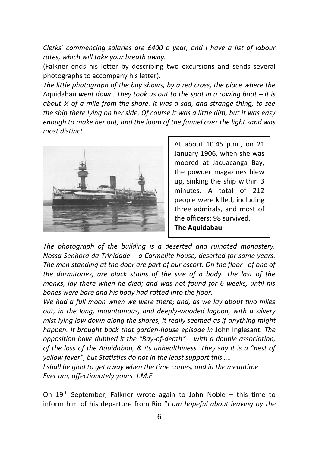*Clerks' commencing salaries are £400 a year, and I have a list of labour rates, which will take your breath away.*

(Falkner ends his letter by describing two excursions and sends several photographs to accompany his letter).

*The little photograph of the bay shows, by a red cross, the place where the*  Aquidabau *went down. They took us out to the spot in a rowing boat – it is about ¾ of a mile from the shore. It was a sad, and strange thing, to see the ship there lying on her side. Of course it was a little dim, but it was easy enough to make her out, and the loom of the funnel over the light sand was most distinct.*



At about 10.45 p.m., on 21 January 1906, when she was moored at Jacuacanga Bay, the powder magazines blew up, sinking the ship within 3 minutes. A total of 212 people were killed, including three admirals, and most of the officers; 98 survived. **The Aquidabau**

*The photograph of the building is a deserted and ruinated monastery. Nossa Senhora da Trinidade – a Carmelite house, deserted for some years. The men standing at the door are part of our escort. On the floor of one of the dormitories, are black stains of the size of a body. The last of the monks, lay there when he died; and was not found for 6 weeks, until his bones were bare and his body had rotted into the floor.*

*We had a full moon when we were there; and, as we lay about two miles out, in the long, mountainous, and deeply-wooded lagoon, with a silvery mist lying low down along the shores, it really seemed as if anything might happen. It brought back that garden-house episode in* John Inglesant*. The opposition have dubbed it the "Bay-of-death" – with a double association, of the loss of the Aquidabau, & its unhealthiness. They say it is a "nest of yellow fever", but Statistics do not in the least support this…..*

*I shall be glad to get away when the time comes, and in the meantime Ever am, affectionately yours J.M.F.*

On  $19<sup>th</sup>$  September, Falkner wrote again to John Noble – this time to inform him of his departure from Rio "*I am hopeful about leaving by the*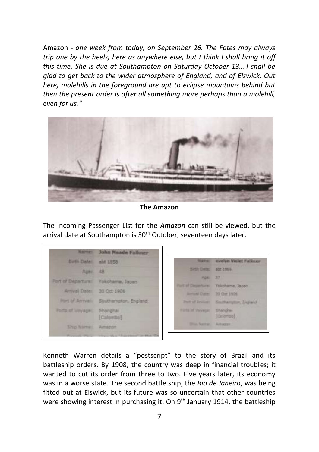Amazon - *one week from today, on September 26. The Fates may always trip one by the heels, here as anywhere else, but I think I shall bring it off this time. She is due at Southampton on Saturday October 13….I shall be glad to get back to the wider atmosphere of England, and of Elswick. Out here, molehills in the foreground are apt to eclipse mountains behind but then the present order is after all something more perhaps than a molehill, even for us."*



**The Amazon**

The Incoming Passenger List for the *Amazon* can still be viewed, but the arrival date at Southampton is 30<sup>th</sup> October, seventeen days later.

| <b>Mainter:</b>                  | <b>John Meade Falkner</b> |                           |                              |
|----------------------------------|---------------------------|---------------------------|------------------------------|
| <b>Buth Date:</b>                | abt 1858                  | <b>Native:</b>            | myelyn Violet Falkner        |
| Ages.                            | 48                        | Sittle Date:              | 900 3059                     |
| Port of Departures               | Yokohama, Japan           | <b>ROBI</b>               | 37                           |
|                                  |                           | Port of Departure:        | Tokohama, Sapon              |
| Arrival Date:                    | 30 Oct 1906               | <b>Entrad Date:</b>       | 30 Oct 1956                  |
| <b><i>Plant of Arrivalia</i></b> | Southampton, England:     | <b>Part of Arrivers</b>   | Southampton, England         |
| Points of Vinyage:               | Shanahai<br>(Calenzo)     | Ports of Verwont          | Shengher<br><b>Ithicrool</b> |
| <b>Sho Name:</b>                 | Amazon                    | <b>District Passivist</b> | <b>Arhazzn</b>               |
|                                  |                           |                           |                              |

Kenneth Warren details a "postscript" to the story of Brazil and its battleship orders. By 1908, the country was deep in financial troubles; it wanted to cut its order from three to two. Five years later, its economy was in a worse state. The second battle ship, the *Rio de Janeiro*, was being fitted out at Elswick, but its future was so uncertain that other countries were showing interest in purchasing it. On 9<sup>th</sup> January 1914, the battleship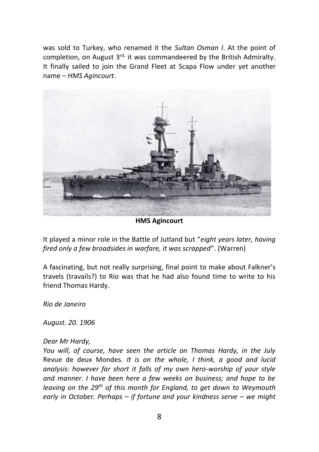was sold to Turkey, who renamed it the *Sultan Osman I*. At the point of completion, on August 3<sup>rd,</sup> it was commandeered by the British Admiralty. It finally sailed to join the Grand Fleet at Scapa Flow under yet another name – *HMS Agincourt*.



**HMS Agincourt**

It played a minor role in the Battle of Jutland but "*eight years later, having fired only a few broadsides in warfare, it was scrapped*". (Warren)

A fascinating, but not really surprising, final point to make about Falkner's travels (travails?) to Rio was that he had also found time to write to his friend Thomas Hardy.

*Rio de Janeiro*

*August. 20. 1906*

## *Dear Mr Hardy,*

*You will, of course, have seen the article on Thomas Hardy, in the July*  Revue de deux Mondes*. It is on the whole, I think, a good and lucid analysis: however far short it falls of my own hero-worship of your style and manner. I have been here a few weeks on business; and hope to be leaving on the 29th of this month for England, to get down to Weymouth early in October. Perhaps – if fortune and your kindness serve – we might*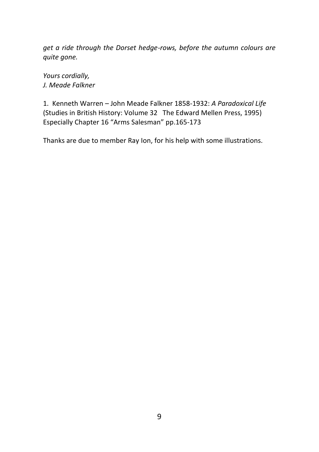*get a ride through the Dorset hedge-rows, before the autumn colours are quite gone.*

*Yours cordially, J. Meade Falkner*

1. Kenneth Warren – John Meade Falkner 1858-1932: *A Paradoxical Life* (Studies in British History: Volume 32 The Edward Mellen Press, 1995) Especially Chapter 16 "Arms Salesman" pp.165-173

Thanks are due to member Ray Ion, for his help with some illustrations.